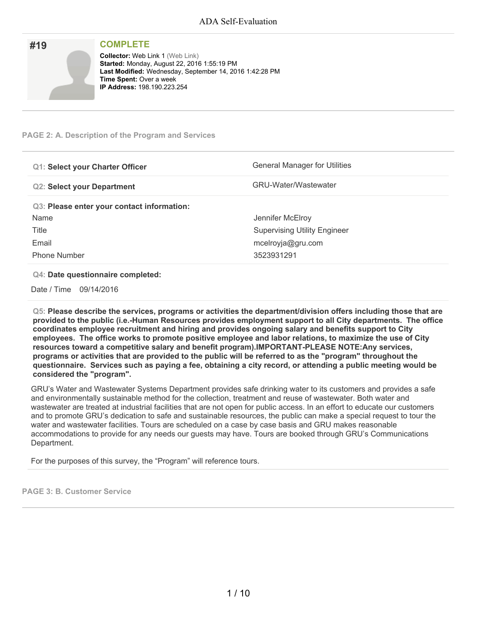| #19 | <b>COMPLETE</b>                                                                                                                                                                                                           |
|-----|---------------------------------------------------------------------------------------------------------------------------------------------------------------------------------------------------------------------------|
|     | <b>Collector: Web Link 1 (Web Link)</b><br>Started: Monday, August 22, 2016 1:55:19 PM<br>Last Modified: Wednesday, September 14, 2016 1:42:28 PM<br><b>Time Spent: Over a week</b><br><b>IP Address: 198.190.223.254</b> |

### **PAGE 2: A. Description of the Program and Services**

| <b>Q1: Select your Charter Officer</b>     | General Manager for Utilities       |
|--------------------------------------------|-------------------------------------|
| <b>Q2: Select your Department</b>          | <b>GRU-Water/Wastewater</b>         |
| Q3: Please enter your contact information: |                                     |
| Name                                       | Jennifer McElroy                    |
| Title                                      | <b>Supervising Utility Engineer</b> |
| Email                                      | mcelroyja@gru.com                   |
| <b>Phone Number</b>                        | 3523931291                          |

#### **Q4: Date questionnaire completed:**

Date / Time 09/14/2016

**Q5: Please describe the services, programs or activities the department/division offers including those that are provided to the public (i.e.-Human Resources provides employment support to all City departments. The office coordinates employee recruitment and hiring and provides ongoing salary and benefits support to City employees. The office works to promote positive employee and labor relations, to maximize the use of City resources toward a competitive salary and benefit program).IMPORTANT-PLEASE NOTE:Any services,** programs or activities that are provided to the public will be referred to as the "program" throughout the questionnaire. Services such as paying a fee, obtaining a city record, or attending a public meeting would be **considered the "program".**

GRU's Water and Wastewater Systems Department provides safe drinking water to its customers and provides a safe and environmentally sustainable method for the collection, treatment and reuse of wastewater. Both water and wastewater are treated at industrial facilities that are not open for public access. In an effort to educate our customers and to promote GRU's dedication to safe and sustainable resources, the public can make a special request to tour the water and wastewater facilities. Tours are scheduled on a case by case basis and GRU makes reasonable accommodations to provide for any needs our guests may have. Tours are booked through GRU's Communications Department.

For the purposes of this survey, the "Program" will reference tours.

**PAGE 3: B. Customer Service**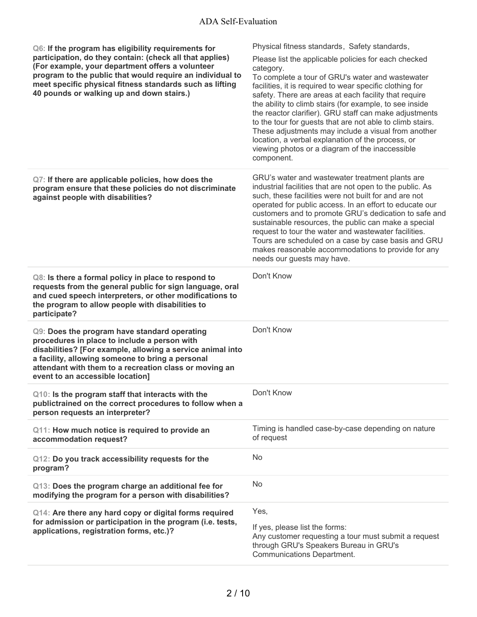| Q6: If the program has eligibility requirements for<br>participation, do they contain: (check all that applies)                                                                                                                                                                                              | Physical fitness standards, Safety standards,<br>Please list the applicable policies for each checked                                                                                                                                                                                                                                                                                                                                                                                                                                                |
|--------------------------------------------------------------------------------------------------------------------------------------------------------------------------------------------------------------------------------------------------------------------------------------------------------------|------------------------------------------------------------------------------------------------------------------------------------------------------------------------------------------------------------------------------------------------------------------------------------------------------------------------------------------------------------------------------------------------------------------------------------------------------------------------------------------------------------------------------------------------------|
| (For example, your department offers a volunteer<br>program to the public that would require an individual to<br>meet specific physical fitness standards such as lifting<br>40 pounds or walking up and down stairs.)                                                                                       | category.<br>To complete a tour of GRU's water and wastewater<br>facilities, it is required to wear specific clothing for<br>safety. There are areas at each facility that require<br>the ability to climb stairs (for example, to see inside<br>the reactor clarifier). GRU staff can make adjustments<br>to the tour for guests that are not able to climb stairs.<br>These adjustments may include a visual from another<br>location, a verbal explanation of the process, or<br>viewing photos or a diagram of the inaccessible<br>component.    |
| Q7: If there are applicable policies, how does the<br>program ensure that these policies do not discriminate<br>against people with disabilities?                                                                                                                                                            | GRU's water and wastewater treatment plants are<br>industrial facilities that are not open to the public. As<br>such, these facilities were not built for and are not<br>operated for public access. In an effort to educate our<br>customers and to promote GRU's dedication to safe and<br>sustainable resources, the public can make a special<br>request to tour the water and wastewater facilities.<br>Tours are scheduled on a case by case basis and GRU<br>makes reasonable accommodations to provide for any<br>needs our guests may have. |
| Q8: Is there a formal policy in place to respond to<br>requests from the general public for sign language, oral<br>and cued speech interpreters, or other modifications to<br>the program to allow people with disabilities to<br>participate?                                                               | Don't Know                                                                                                                                                                                                                                                                                                                                                                                                                                                                                                                                           |
| Q9: Does the program have standard operating<br>procedures in place to include a person with<br>disabilities? [For example, allowing a service animal into<br>a facility, allowing someone to bring a personal<br>attendant with them to a recreation class or moving an<br>event to an accessible location] | Don't Know                                                                                                                                                                                                                                                                                                                                                                                                                                                                                                                                           |
| Q10: Is the program staff that interacts with the<br>publictrained on the correct procedures to follow when a<br>person requests an interpreter?                                                                                                                                                             | Don't Know                                                                                                                                                                                                                                                                                                                                                                                                                                                                                                                                           |
| Q11: How much notice is required to provide an<br>accommodation request?                                                                                                                                                                                                                                     | Timing is handled case-by-case depending on nature<br>of request                                                                                                                                                                                                                                                                                                                                                                                                                                                                                     |
| Q12: Do you track accessibility requests for the<br>program?                                                                                                                                                                                                                                                 | <b>No</b>                                                                                                                                                                                                                                                                                                                                                                                                                                                                                                                                            |
| Q13: Does the program charge an additional fee for<br>modifying the program for a person with disabilities?                                                                                                                                                                                                  | <b>No</b>                                                                                                                                                                                                                                                                                                                                                                                                                                                                                                                                            |
| Q14: Are there any hard copy or digital forms required<br>for admission or participation in the program (i.e. tests,<br>applications, registration forms, etc.)?                                                                                                                                             | Yes,<br>If yes, please list the forms:<br>Any customer requesting a tour must submit a request<br>through GRU's Speakers Bureau in GRU's<br>Communications Department.                                                                                                                                                                                                                                                                                                                                                                               |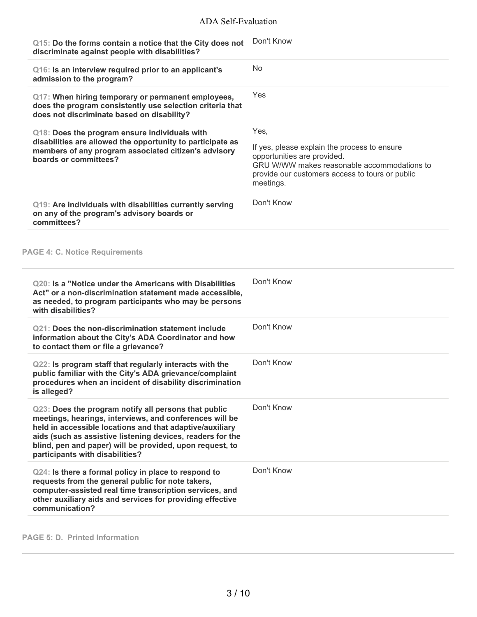| Q15: Do the forms contain a notice that the City does not<br>discriminate against people with disabilities?                                                                                                                                                                                                                              | Don't Know                                                                                                                                                                                         |
|------------------------------------------------------------------------------------------------------------------------------------------------------------------------------------------------------------------------------------------------------------------------------------------------------------------------------------------|----------------------------------------------------------------------------------------------------------------------------------------------------------------------------------------------------|
| Q16: Is an interview required prior to an applicant's<br>admission to the program?                                                                                                                                                                                                                                                       | <b>No</b>                                                                                                                                                                                          |
| Q17: When hiring temporary or permanent employees,<br>does the program consistently use selection criteria that<br>does not discriminate based on disability?                                                                                                                                                                            | Yes                                                                                                                                                                                                |
| Q18: Does the program ensure individuals with<br>disabilities are allowed the opportunity to participate as<br>members of any program associated citizen's advisory<br>boards or committees?                                                                                                                                             | Yes,<br>If yes, please explain the process to ensure<br>opportunities are provided.<br>GRU W/WW makes reasonable accommodations to<br>provide our customers access to tours or public<br>meetings. |
| Q19: Are individuals with disabilities currently serving<br>on any of the program's advisory boards or<br>committees?                                                                                                                                                                                                                    | Don't Know                                                                                                                                                                                         |
| <b>PAGE 4: C. Notice Requirements</b>                                                                                                                                                                                                                                                                                                    |                                                                                                                                                                                                    |
| Q20: Is a "Notice under the Americans with Disabilities<br>Act" or a non-discrimination statement made accessible,<br>as needed, to program participants who may be persons<br>with disabilities?                                                                                                                                        | Don't Know                                                                                                                                                                                         |
| Q21: Does the non-discrimination statement include<br>information about the City's ADA Coordinator and how<br>to contact them or file a grievance?                                                                                                                                                                                       | Don't Know                                                                                                                                                                                         |
| Q22: Is program staff that regularly interacts with the<br>public familiar with the City's ADA grievance/complaint<br>procedures when an incident of disability discrimination<br>is alleged?                                                                                                                                            | Don't Know                                                                                                                                                                                         |
| Q23: Does the program notify all persons that public<br>meetings, hearings, interviews, and conferences will be<br>held in accessible locations and that adaptive/auxiliary<br>aids (such as assistive listening devices, readers for the<br>blind, pen and paper) will be provided, upon request, to<br>participants with disabilities? | Don't Know                                                                                                                                                                                         |
| Q24: Is there a formal policy in place to respond to<br>requests from the general public for note takers,<br>computer-assisted real time transcription services, and<br>other auxiliary aids and services for providing effective<br>communication?                                                                                      | Don't Know                                                                                                                                                                                         |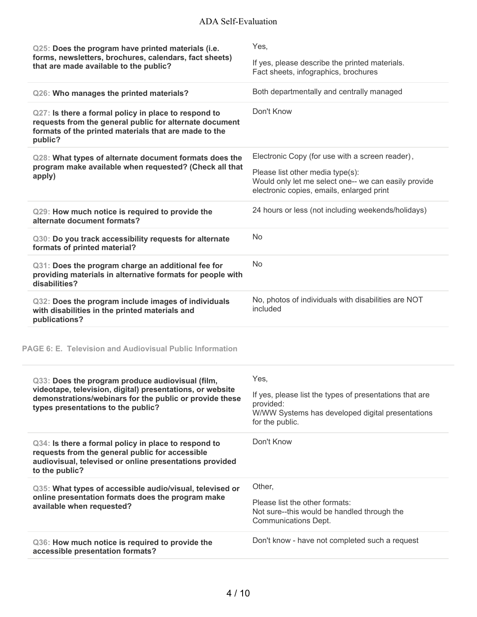| Q25: Does the program have printed materials (i.e.<br>forms, newsletters, brochures, calendars, fact sheets)<br>that are made available to the public?                                                         | Yes,<br>If yes, please describe the printed materials.<br>Fact sheets, infographics, brochures                                                                                           |
|----------------------------------------------------------------------------------------------------------------------------------------------------------------------------------------------------------------|------------------------------------------------------------------------------------------------------------------------------------------------------------------------------------------|
| Q26: Who manages the printed materials?                                                                                                                                                                        | Both departmentally and centrally managed                                                                                                                                                |
| Q27: Is there a formal policy in place to respond to<br>requests from the general public for alternate document<br>formats of the printed materials that are made to the<br>public?                            | Don't Know                                                                                                                                                                               |
| Q28: What types of alternate document formats does the<br>program make available when requested? (Check all that<br>apply)                                                                                     | Electronic Copy (for use with a screen reader),<br>Please list other media type(s):<br>Would only let me select one-- we can easily provide<br>electronic copies, emails, enlarged print |
| Q29: How much notice is required to provide the<br>alternate document formats?                                                                                                                                 | 24 hours or less (not including weekends/holidays)                                                                                                                                       |
| Q30: Do you track accessibility requests for alternate<br>formats of printed material?                                                                                                                         | <b>No</b>                                                                                                                                                                                |
| Q31: Does the program charge an additional fee for<br>providing materials in alternative formats for people with<br>disabilities?                                                                              | No.                                                                                                                                                                                      |
| Q32: Does the program include images of individuals<br>with disabilities in the printed materials and<br>publications?                                                                                         | No, photos of individuals with disabilities are NOT<br>included                                                                                                                          |
| <b>PAGE 6: E. Television and Audiovisual Public Information</b>                                                                                                                                                |                                                                                                                                                                                          |
| Q33: Does the program produce audiovisual (film,<br>videotape, television, digital) presentations, or website<br>demonstrations/webinars for the public or provide these<br>types presentations to the public? | Yes,<br>If yes, please list the types of presentations that are<br>provided:<br>W/WW Systems has developed digital presentations<br>for the public.                                      |
| Q34: Is there a formal policy in place to respond to<br>requests from the general public for accessible<br>audiovisual, televised or online presentations provided<br>to the public?                           | Don't Know                                                                                                                                                                               |
| Q35: What types of accessible audio/visual, televised or<br>online presentation formats does the program make<br>available when requested?                                                                     | Other,<br>Please list the other formats:<br>Not sure--this would be handled through the<br>Communications Dept.                                                                          |
| Q36: How much notice is required to provide the<br>accessible presentation formats?                                                                                                                            | Don't know - have not completed such a request                                                                                                                                           |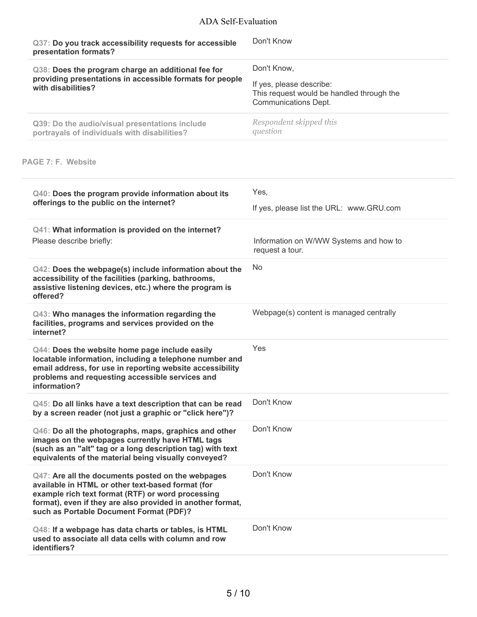| Q37: Do you track accessibility requests for accessible<br>presentation formats?                                                                                                                                                                                     | Don't Know                                                                                                          |
|----------------------------------------------------------------------------------------------------------------------------------------------------------------------------------------------------------------------------------------------------------------------|---------------------------------------------------------------------------------------------------------------------|
| Q38: Does the program charge an additional fee for<br>providing presentations in accessible formats for people<br>with disabilities?                                                                                                                                 | Don't Know,<br>If yes, please describe:<br>This request would be handled through the<br><b>Communications Dept.</b> |
| Q39: Do the audio/visual presentations include<br>portrayals of individuals with disabilities?                                                                                                                                                                       | Respondent skipped this<br>question                                                                                 |
| PAGE 7: F. Website                                                                                                                                                                                                                                                   |                                                                                                                     |
| Q40: Does the program provide information about its<br>offerings to the public on the internet?                                                                                                                                                                      | Yes,<br>If yes, please list the URL: www.GRU.com                                                                    |
| Q41: What information is provided on the internet?<br>Please describe briefly:                                                                                                                                                                                       | Information on W/WW Systems and how to<br>request a tour.                                                           |
| Q42: Does the webpage(s) include information about the<br>accessibility of the facilities (parking, bathrooms,<br>assistive listening devices, etc.) where the program is<br>offered?                                                                                | <b>No</b>                                                                                                           |
| Q43: Who manages the information regarding the<br>facilities, programs and services provided on the<br>internet?                                                                                                                                                     | Webpage(s) content is managed centrally                                                                             |
| Q44: Does the website home page include easily<br>locatable information, including a telephone number and<br>email address, for use in reporting website accessibility<br>problems and requesting accessible services and<br>information?                            | Yes                                                                                                                 |
| Q45: Do all links have a text description that can be read<br>by a screen reader (not just a graphic or "click here")?                                                                                                                                               | Don't Know                                                                                                          |
| Q46: Do all the photographs, maps, graphics and other<br>images on the webpages currently have HTML tags<br>(such as an "alt" tag or a long description tag) with text<br>equivalents of the material being visually conveyed?                                       | Don't Know                                                                                                          |
| Q47: Are all the documents posted on the webpages<br>available in HTML or other text-based format (for<br>example rich text format (RTF) or word processing<br>format), even if they are also provided in another format,<br>such as Portable Document Format (PDF)? | Don't Know                                                                                                          |
| Q48: If a webpage has data charts or tables, is HTML<br>used to associate all data cells with column and row<br>identifiers?                                                                                                                                         | Don't Know                                                                                                          |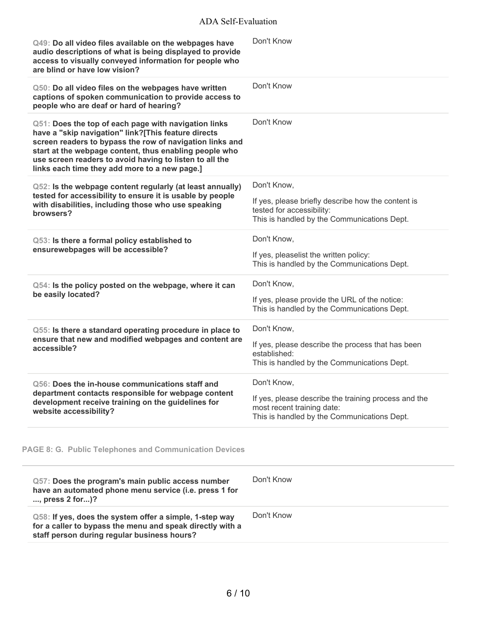| Q49: Do all video files available on the webpages have<br>audio descriptions of what is being displayed to provide<br>access to visually conveyed information for people who<br>are blind or have low vision?                                                                                                                                 | Don't Know                                                                                                                                       |
|-----------------------------------------------------------------------------------------------------------------------------------------------------------------------------------------------------------------------------------------------------------------------------------------------------------------------------------------------|--------------------------------------------------------------------------------------------------------------------------------------------------|
| Q50: Do all video files on the webpages have written<br>captions of spoken communication to provide access to<br>people who are deaf or hard of hearing?                                                                                                                                                                                      | Don't Know                                                                                                                                       |
| Q51: Does the top of each page with navigation links<br>have a "skip navigation" link?[This feature directs<br>screen readers to bypass the row of navigation links and<br>start at the webpage content, thus enabling people who<br>use screen readers to avoid having to listen to all the<br>links each time they add more to a new page.] | Don't Know                                                                                                                                       |
| Q52: Is the webpage content regularly (at least annually)<br>tested for accessibility to ensure it is usable by people<br>with disabilities, including those who use speaking<br>browsers?                                                                                                                                                    | Don't Know,<br>If yes, please briefly describe how the content is<br>tested for accessibility:<br>This is handled by the Communications Dept.    |
| Q53: Is there a formal policy established to<br>ensurewebpages will be accessible?                                                                                                                                                                                                                                                            | Don't Know,<br>If yes, pleaselist the written policy:<br>This is handled by the Communications Dept.                                             |
| Q54: Is the policy posted on the webpage, where it can<br>be easily located?                                                                                                                                                                                                                                                                  | Don't Know,<br>If yes, please provide the URL of the notice:<br>This is handled by the Communications Dept.                                      |
| Q55: Is there a standard operating procedure in place to<br>ensure that new and modified webpages and content are<br>accessible?                                                                                                                                                                                                              | Don't Know,<br>If yes, please describe the process that has been<br>established:<br>This is handled by the Communications Dept.                  |
| Q56: Does the in-house communications staff and<br>department contacts responsible for webpage content<br>development receive training on the guidelines for<br>website accessibility?                                                                                                                                                        | Don't Know,<br>If yes, please describe the training process and the<br>most recent training date:<br>This is handled by the Communications Dept. |

# **PAGE 8: G. Public Telephones and Communication Devices**

| Q57: Does the program's main public access number<br>have an automated phone menu service (i.e. press 1 for<br>$,$ press 2 for $$ )?                                | Don't Know |
|---------------------------------------------------------------------------------------------------------------------------------------------------------------------|------------|
| Q58: If yes, does the system offer a simple, 1-step way<br>for a caller to bypass the menu and speak directly with a<br>staff person during regular business hours? | Don't Know |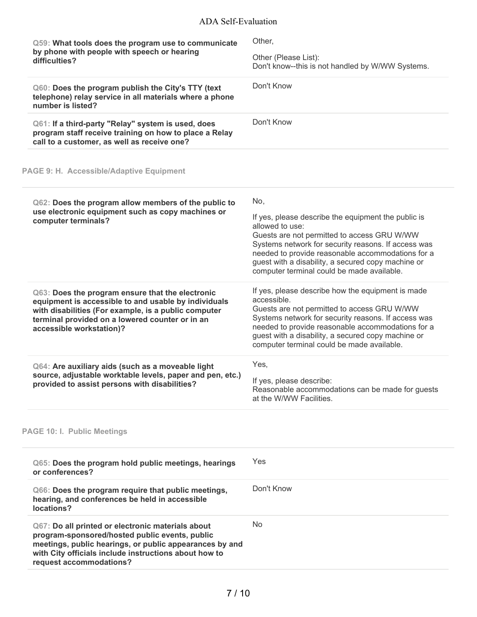| Q59: What tools does the program use to communicate<br>by phone with people with speech or hearing<br>difficulties?                                                                                                                                | Other,<br>Other (Please List):<br>Don't know--this is not handled by W/WW Systems.                                                                                                                                                                                                                                                           |
|----------------------------------------------------------------------------------------------------------------------------------------------------------------------------------------------------------------------------------------------------|----------------------------------------------------------------------------------------------------------------------------------------------------------------------------------------------------------------------------------------------------------------------------------------------------------------------------------------------|
| Q60: Does the program publish the City's TTY (text<br>telephone) relay service in all materials where a phone<br>number is listed?                                                                                                                 | Don't Know                                                                                                                                                                                                                                                                                                                                   |
| Q61: If a third-party "Relay" system is used, does<br>program staff receive training on how to place a Relay<br>call to a customer, as well as receive one?                                                                                        | Don't Know                                                                                                                                                                                                                                                                                                                                   |
| PAGE 9: H. Accessible/Adaptive Equipment                                                                                                                                                                                                           |                                                                                                                                                                                                                                                                                                                                              |
| Q62: Does the program allow members of the public to<br>use electronic equipment such as copy machines or<br>computer terminals?                                                                                                                   | No,<br>If yes, please describe the equipment the public is<br>allowed to use:<br>Guests are not permitted to access GRU W/WW<br>Systems network for security reasons. If access was<br>needed to provide reasonable accommodations for a<br>guest with a disability, a secured copy machine or<br>computer terminal could be made available. |
| Q63: Does the program ensure that the electronic<br>equipment is accessible to and usable by individuals<br>with disabilities (For example, is a public computer<br>terminal provided on a lowered counter or in an<br>accessible workstation)?    | If yes, please describe how the equipment is made<br>accessible.<br>Guests are not permitted to access GRU W/WW<br>Systems network for security reasons. If access was<br>needed to provide reasonable accommodations for a<br>guest with a disability, a secured copy machine or<br>computer terminal could be made available.              |
| Q64: Are auxiliary aids (such as a moveable light<br>source, adjustable worktable levels, paper and pen, etc.)<br>provided to assist persons with disabilities?                                                                                    | Yes,<br>If yes, please describe:<br>Reasonable accommodations can be made for guests<br>at the W/WW Facilities.                                                                                                                                                                                                                              |
| <b>PAGE 10: I. Public Meetings</b>                                                                                                                                                                                                                 |                                                                                                                                                                                                                                                                                                                                              |
| Q65: Does the program hold public meetings, hearings<br>or conferences?                                                                                                                                                                            | Yes                                                                                                                                                                                                                                                                                                                                          |
| Q66: Does the program require that public meetings,<br>hearing, and conferences be held in accessible<br>locations?                                                                                                                                | Don't Know                                                                                                                                                                                                                                                                                                                                   |
| Q67: Do all printed or electronic materials about<br>program-sponsored/hosted public events, public<br>meetings, public hearings, or public appearances by and<br>with City officials include instructions about how to<br>request accommodations? | <b>No</b>                                                                                                                                                                                                                                                                                                                                    |

í.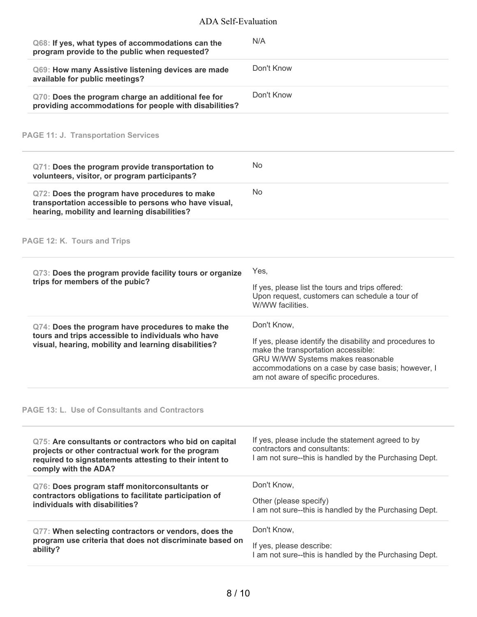| Q68: If yes, what types of accommodations can the<br>program provide to the public when requested?                                                                                              | N/A                                                                                                                                                                                                                                               |
|-------------------------------------------------------------------------------------------------------------------------------------------------------------------------------------------------|---------------------------------------------------------------------------------------------------------------------------------------------------------------------------------------------------------------------------------------------------|
| Q69: How many Assistive listening devices are made<br>available for public meetings?                                                                                                            | Don't Know                                                                                                                                                                                                                                        |
| Q70: Does the program charge an additional fee for<br>providing accommodations for people with disabilities?                                                                                    | Don't Know                                                                                                                                                                                                                                        |
| <b>PAGE 11: J. Transportation Services</b>                                                                                                                                                      |                                                                                                                                                                                                                                                   |
| Q71: Does the program provide transportation to<br>volunteers, visitor, or program participants?                                                                                                | No                                                                                                                                                                                                                                                |
| Q72: Does the program have procedures to make<br>transportation accessible to persons who have visual,<br>hearing, mobility and learning disabilities?                                          | <b>No</b>                                                                                                                                                                                                                                         |
| PAGE 12: K. Tours and Trips                                                                                                                                                                     |                                                                                                                                                                                                                                                   |
| Q73: Does the program provide facility tours or organize<br>trips for members of the pubic?                                                                                                     | Yes,<br>If yes, please list the tours and trips offered:<br>Upon request, customers can schedule a tour of<br>W/WW facilities.                                                                                                                    |
| Q74: Does the program have procedures to make the<br>tours and trips accessible to individuals who have<br>visual, hearing, mobility and learning disabilities?                                 | Don't Know,<br>If yes, please identify the disability and procedures to<br>make the transportation accessible:<br>GRU W/WW Systems makes reasonable<br>accommodations on a case by case basis; however, I<br>am not aware of specific procedures. |
| <b>PAGE 13: L. Use of Consultants and Contractors</b>                                                                                                                                           |                                                                                                                                                                                                                                                   |
| Q75: Are consultants or contractors who bid on capital<br>projects or other contractual work for the program<br>required to signstatements attesting to their intent to<br>comply with the ADA? | If yes, please include the statement agreed to by<br>contractors and consultants:<br>I am not sure--this is handled by the Purchasing Dept.                                                                                                       |
| Q76: Does program staff monitorconsultants or<br>contractors obligations to facilitate participation of<br>individuals with disabilities?                                                       | Don't Know,<br>Other (please specify)<br>I am not sure--this is handled by the Purchasing Dept.                                                                                                                                                   |
| Q77: When selecting contractors or vendors, does the<br>program use criteria that does not discriminate based on<br>ability?                                                                    | Don't Know,<br>If yes, please describe:<br>I am not sure--this is handled by the Purchasing Dept.                                                                                                                                                 |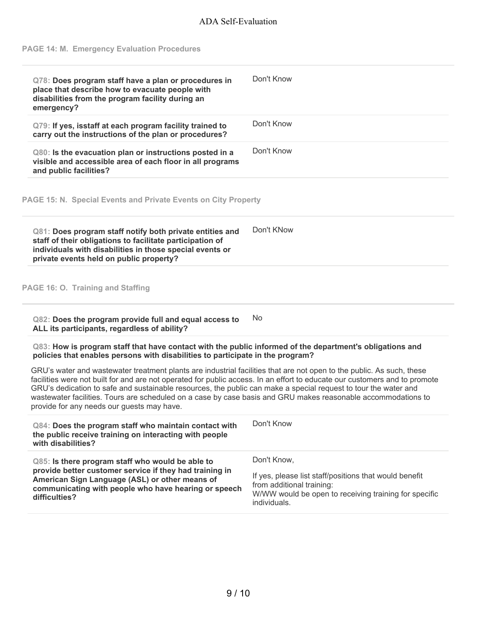#### **PAGE 14: M. Emergency Evaluation Procedures**

| Q78: Does program staff have a plan or procedures in<br>place that describe how to evacuate people with<br>disabilities from the program facility during an<br>emergency? | Don't Know |
|---------------------------------------------------------------------------------------------------------------------------------------------------------------------------|------------|
| Q79: If yes, isstaff at each program facility trained to<br>carry out the instructions of the plan or procedures?                                                         | Don't Know |
| Q80: Is the evacuation plan or instructions posted in a<br>visible and accessible area of each floor in all programs<br>and public facilities?                            | Don't Know |

**PAGE 15: N. Special Events and Private Events on City Property**

| private events held on public property? |
|-----------------------------------------|
|-----------------------------------------|

**PAGE 16: O. Training and Staffing**

**Q82: Does the program provide full and equal access to ALL its participants, regardless of ability?** No

**Q83: How is program staff that have contact with the public informed of the department's obligations and policies that enables persons with disabilities to participate in the program?**

GRU's water and wastewater treatment plants are industrial facilities that are not open to the public. As such, these facilities were not built for and are not operated for public access. In an effort to educate our customers and to promote GRU's dedication to safe and sustainable resources, the public can make a special request to tour the water and wastewater facilities. Tours are scheduled on a case by case basis and GRU makes reasonable accommodations to provide for any needs our guests may have.

| Q84: Does the program staff who maintain contact with<br>the public receive training on interacting with people<br>with disabilities? | Don't Know                                             |
|---------------------------------------------------------------------------------------------------------------------------------------|--------------------------------------------------------|
| Q85: Is there program staff who would be able to                                                                                      | Don't Know.                                            |
| provide better customer service if they had training in                                                                               | If yes, please list staff/positions that would benefit |
| American Sign Language (ASL) or other means of                                                                                        | from additional training:                              |
| communicating with people who have hearing or speech                                                                                  | W/WW would be open to receiving training for specific  |
| difficulties?                                                                                                                         | individuals.                                           |